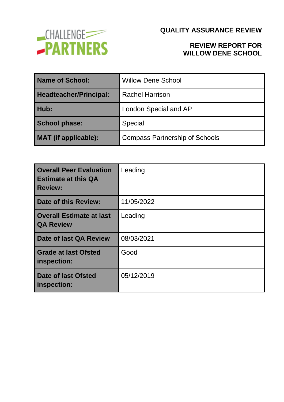

### **REVIEW REPORT FOR WILLOW DENE SCHOOL**

| Name of School:        | <b>Willow Dene School</b>             |
|------------------------|---------------------------------------|
| Headteacher/Principal: | <b>Rachel Harrison</b>                |
| Hub:                   | London Special and AP                 |
| <b>School phase:</b>   | Special                               |
| MAT (if applicable):   | <b>Compass Partnership of Schools</b> |

| <b>Overall Peer Evaluation</b><br><b>Estimate at this QA</b><br><b>Review:</b> | Leading    |
|--------------------------------------------------------------------------------|------------|
| <b>Date of this Review:</b>                                                    | 11/05/2022 |
| <b>Overall Estimate at last</b><br><b>QA Review</b>                            | Leading    |
| Date of last QA Review                                                         | 08/03/2021 |
| <b>Grade at last Ofsted</b><br>inspection:                                     | Good       |
| <b>Date of last Ofsted</b><br>inspection:                                      | 05/12/2019 |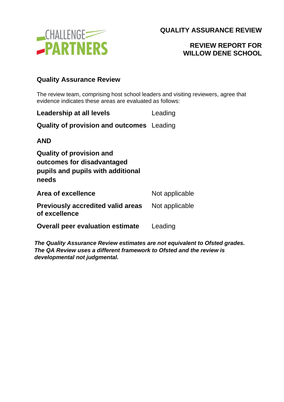

# **REVIEW REPORT FOR WILLOW DENE SCHOOL**

### **Quality Assurance Review**

The review team, comprising host school leaders and visiting reviewers, agree that evidence indicates these areas are evaluated as follows:

| Leadership at all levels                                                                                    | Leading        |
|-------------------------------------------------------------------------------------------------------------|----------------|
| <b>Quality of provision and outcomes</b> Leading                                                            |                |
| AND                                                                                                         |                |
| <b>Quality of provision and</b><br>outcomes for disadvantaged<br>pupils and pupils with additional<br>needs |                |
| <b>Area of excellence</b>                                                                                   | Not applicable |
| Previously accredited valid areas<br>of excellence                                                          | Not applicable |
| <b>Overall peer evaluation estimate</b>                                                                     | Leading        |

*The Quality Assurance Review estimates are not equivalent to Ofsted grades. The QA Review uses a different framework to Ofsted and the review is developmental not judgmental.*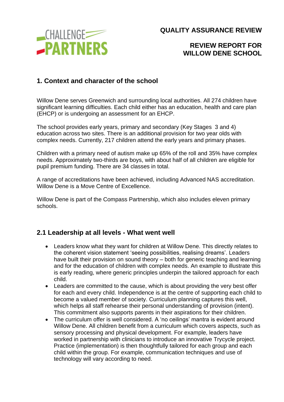

### **REVIEW REPORT FOR WILLOW DENE SCHOOL**

### **1. Context and character of the school**

Willow Dene serves Greenwich and surrounding local authorities. All 274 children have significant learning difficulties. Each child either has an education, health and care plan (EHCP) or is undergoing an assessment for an EHCP.

The school provides early years, primary and secondary (Key Stages 3 and 4) education across two sites. There is an additional provision for two year olds with complex needs. Currently, 217 children attend the early years and primary phases.

Children with a primary need of autism make up 65% of the roll and 35% have complex needs. Approximately two-thirds are boys, with about half of all children are eligible for pupil premium funding. There are 34 classes in total.

A range of accreditations have been achieved, including Advanced NAS accreditation. Willow Dene is a Move Centre of Excellence.

Willow Dene is part of the Compass Partnership, which also includes eleven primary schools.

#### **2.1 Leadership at all levels - What went well**

- Leaders know what they want for children at Willow Dene. This directly relates to the coherent vision statement 'seeing possibilities, realising dreams'. Leaders have built their provision on sound theory – both for generic teaching and learning and for the education of children with complex needs. An example to illustrate this is early reading, where generic principles underpin the tailored approach for each child.
- Leaders are committed to the cause, which is about providing the very best offer for each and every child. Independence is at the centre of supporting each child to become a valued member of society. Curriculum planning captures this well, which helps all staff rehearse their personal understanding of provision (intent). This commitment also supports parents in their aspirations for their children.
- The curriculum offer is well considered. A 'no ceilings' mantra is evident around Willow Dene. All children benefit from a curriculum which covers aspects, such as sensory processing and physical development. For example, leaders have worked in partnership with clinicians to introduce an innovative Trycycle project. Practice (implementation) is then thoughtfully tailored for each group and each child within the group. For example, communication techniques and use of technology will vary according to need.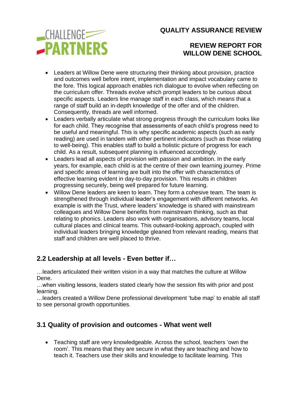

# **REVIEW REPORT FOR WILLOW DENE SCHOOL**

- Leaders at Willow Dene were structuring their thinking about provision, practice and outcomes well before intent, implementation and impact vocabulary came to the fore. This logical approach enables rich dialogue to evolve when reflecting on the curriculum offer. Threads evolve which prompt leaders to be curious about specific aspects. Leaders line manage staff in each class, which means that a range of staff build an in-depth knowledge of the offer and of the children. Consequently, threads are well informed.
- Leaders verbally articulate what strong progress through the curriculum looks like for each child. They recognise that assessments of each child's progress need to be useful and meaningful. This is why specific academic aspects (such as early reading) are used in tandem with other pertinent indicators (such as those relating to well-being). This enables staff to build a holistic picture of progress for each child. As a result, subsequent planning is influenced accordingly.
- Leaders lead all aspects of provision with passion and ambition. In the early years, for example, each child is at the centre of their own learning journey. Prime and specific areas of learning are built into the offer with characteristics of effective learning evident in day-to-day provision. This results in children progressing securely, being well prepared for future learning.
- Willow Dene leaders are keen to learn. They form a cohesive team. The team is strengthened through individual leader's engagement with different networks. An example is with the Trust, where leaders' knowledge is shared with mainstream colleagues and Willow Dene benefits from mainstream thinking, such as that relating to phonics. Leaders also work with organisations, advisory teams, local cultural places and clinical teams. This outward-looking approach, coupled with individual leaders bringing knowledge gleaned from relevant reading, means that staff and children are well placed to thrive.

# **2.2 Leadership at all levels - Even better if…**

…leaders articulated their written vision in a way that matches the culture at Willow Dene.

…when visiting lessons, leaders stated clearly how the session fits with prior and post learning.

…leaders created a Willow Dene professional development 'tube map' to enable all staff to see personal growth opportunities.

# **3.1 Quality of provision and outcomes - What went well**

• Teaching staff are very knowledgeable. Across the school, teachers 'own the room'. This means that they are secure in what they are teaching and how to teach it. Teachers use their skills and knowledge to facilitate learning. This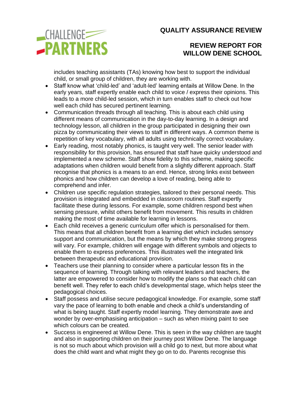

# **REVIEW REPORT FOR WILLOW DENE SCHOOL**

includes teaching assistants (TAs) knowing how best to support the individual child, or small group of children, they are working with.

- Staff know what 'child-led' and 'adult-led' learning entails at Willow Dene. In the early years, staff expertly enable each child to voice / express their opinions. This leads to a more child-led session, which in turn enables staff to check out how well each child has secured pertinent learning.
- Communication threads through all teaching. This is about each child using different means of communication in the day-to-day learning. In a design and technology lesson, all children in the group participated in designing their own pizza by communicating their views to staff in different ways. A common theme is repetition of key vocabulary, with all adults using technically correct vocabulary.
- Early reading, most notably phonics, is taught very well. The senior leader with responsibility for this provision, has ensured that staff have quicky understood and implemented a new scheme. Staff show fidelity to this scheme, making specific adaptations when children would benefit from a slightly different approach. Staff recognise that phonics is a means to an end. Hence, strong links exist between phonics and how children can develop a love of reading, being able to comprehend and infer.
- Children use specific regulation strategies, tailored to their personal needs. This provision is integrated and embedded in classroom routines. Staff expertly facilitate these during lessons. For example, some children respond best when sensing pressure, whilst others benefit from movement. This results in children making the most of time available for learning in lessons.
- Each child receives a generic curriculum offer which is personalised for them. This means that all children benefit from a learning diet which includes sensory support and communication, but the means by which they make strong progress will vary. For example, children will engage with different symbols and objects to enable them to express preferences. This illustrates well the integrated link between therapeutic and educational provision.
- Teachers use their planning to consider where a particular lesson fits in the sequence of learning. Through talking with relevant leaders and teachers, the latter are empowered to consider how to modify the plans so that each child can benefit well. They refer to each child's developmental stage, which helps steer the pedagogical choices.
- Staff possess and utilise secure pedagogical knowledge. For example, some staff vary the pace of learning to both enable and check a child's understanding of what is being taught. Staff expertly model learning. They demonstrate awe and wonder by over-emphasising anticipation – such as when mixing paint to see which colours can be created.
- Success is engineered at Willow Dene. This is seen in the way children are taught and also in supporting children on their journey post Willow Dene. The language is not so much about which provision will a child go to next, but more about what does the child want and what might they go on to do. Parents recognise this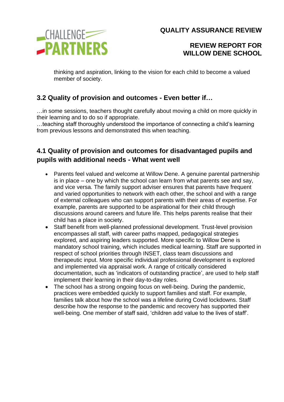

### **REVIEW REPORT FOR WILLOW DENE SCHOOL**

thinking and aspiration, linking to the vision for each child to become a valued member of society.

# **3.2 Quality of provision and outcomes - Even better if…**

…in some sessions, teachers thought carefully about moving a child on more quickly in their learning and to do so if appropriate.

…teaching staff thoroughly understood the importance of connecting a child's learning from previous lessons and demonstrated this when teaching.

# **4.1 Quality of provision and outcomes for disadvantaged pupils and pupils with additional needs - What went well**

- Parents feel valued and welcome at Willow Dene. A genuine parental partnership is in place – one by which the school can learn from what parents see and say, and vice versa. The family support adviser ensures that parents have frequent and varied opportunities to network with each other, the school and with a range of external colleagues who can support parents with their areas of expertise. For example, parents are supported to be aspirational for their child through discussions around careers and future life. This helps parents realise that their child has a place in society.
- Staff benefit from well-planned professional development. Trust-level provision encompasses all staff, with career paths mapped, pedagogical strategies explored, and aspiring leaders supported. More specific to Willow Dene is mandatory school training, which includes medical learning. Staff are supported in respect of school priorities through INSET, class team discussions and therapeutic input. More specific individual professional development is explored and implemented via appraisal work. A range of critically considered documentation, such as 'indicators of outstanding practice', are used to help staff implement their learning in their day-to-day roles.
- The school has a strong ongoing focus on well-being. During the pandemic, practices were embedded quickly to support families and staff. For example, families talk about how the school was a lifeline during Covid lockdowns. Staff describe how the response to the pandemic and recovery has supported their well-being. One member of staff said, 'children add value to the lives of staff'.